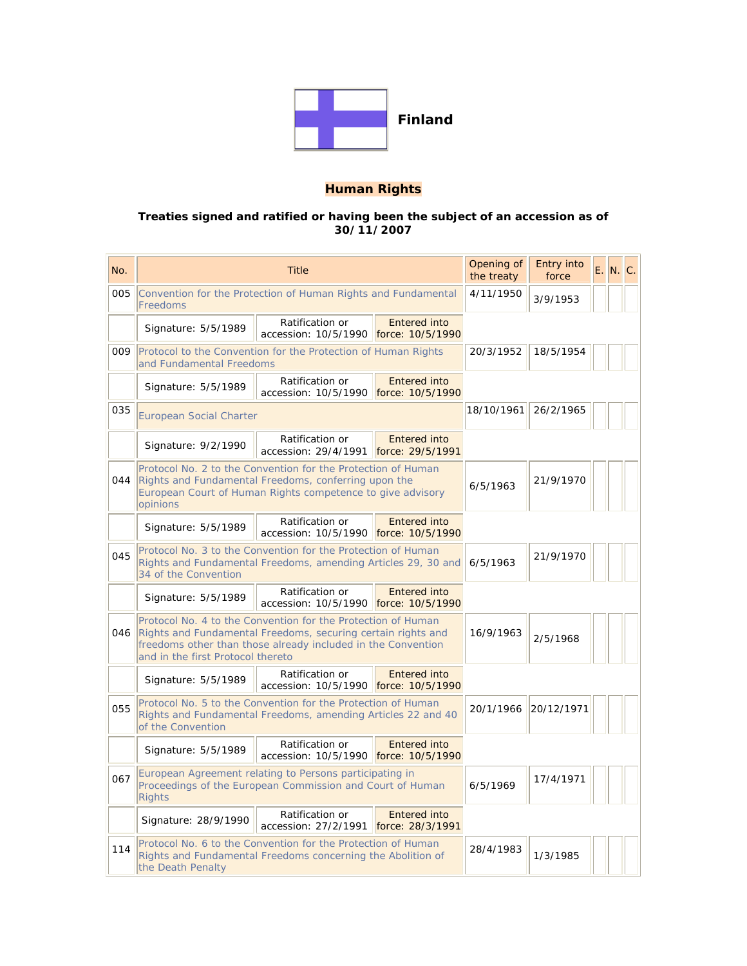

# **Human Rights**

#### **Treaties signed and ratified or having been the subject of an accession as of 30/11/2007**

| No. | <b>Title</b>                                                                                                                                                                                                                      |                                                          |                                         | Opening of<br>the treaty | Entry into<br>force |  | E. N. C. |
|-----|-----------------------------------------------------------------------------------------------------------------------------------------------------------------------------------------------------------------------------------|----------------------------------------------------------|-----------------------------------------|--------------------------|---------------------|--|----------|
| 005 | Convention for the Protection of Human Rights and Fundamental<br>Freedoms                                                                                                                                                         |                                                          |                                         | 4/11/1950                | 3/9/1953            |  |          |
|     | Signature: 5/5/1989                                                                                                                                                                                                               | Ratification or<br>accession: 10/5/1990                  | <b>Entered into</b><br>force: 10/5/1990 |                          |                     |  |          |
| 009 | Protocol to the Convention for the Protection of Human Rights<br>and Fundamental Freedoms                                                                                                                                         | 20/3/1952                                                | 18/5/1954                               |                          |                     |  |          |
|     | Signature: 5/5/1989                                                                                                                                                                                                               | Ratification or<br>accession: 10/5/1990                  | <b>Entered into</b><br>force: 10/5/1990 |                          |                     |  |          |
| 035 | <b>European Social Charter</b>                                                                                                                                                                                                    | 18/10/1961                                               | 26/2/1965                               |                          |                     |  |          |
|     | Signature: 9/2/1990                                                                                                                                                                                                               | Ratification or<br>accession: 29/4/1991                  | <b>Entered into</b><br>force: 29/5/1991 |                          |                     |  |          |
| 044 | Protocol No. 2 to the Convention for the Protection of Human<br>Rights and Fundamental Freedoms, conferring upon the<br>European Court of Human Rights competence to give advisory<br>opinions                                    | 6/5/1963                                                 | 21/9/1970                               |                          |                     |  |          |
|     | Signature: 5/5/1989                                                                                                                                                                                                               | Ratification or<br>accession: 10/5/1990                  | <b>Entered into</b><br>force: 10/5/1990 |                          |                     |  |          |
| 045 | Protocol No. 3 to the Convention for the Protection of Human<br>Rights and Fundamental Freedoms, amending Articles 29, 30 and<br>34 of the Convention                                                                             |                                                          |                                         | 6/5/1963                 | 21/9/1970           |  |          |
|     | Ratification or<br><b>Entered into</b><br>Signature: 5/5/1989<br>accession: 10/5/1990 force: 10/5/1990                                                                                                                            |                                                          |                                         |                          |                     |  |          |
| 046 | Protocol No. 4 to the Convention for the Protection of Human<br>Rights and Fundamental Freedoms, securing certain rights and<br>freedoms other than those already included in the Convention<br>and in the first Protocol thereto |                                                          |                                         | 16/9/1963                | 2/5/1968            |  |          |
|     | Signature: 5/5/1989                                                                                                                                                                                                               | Ratification or<br>accession: 10/5/1990 force: 10/5/1990 | <b>Entered into</b>                     |                          |                     |  |          |
| 055 | Protocol No. 5 to the Convention for the Protection of Human<br>Rights and Fundamental Freedoms, amending Articles 22 and 40<br>of the Convention                                                                                 |                                                          |                                         | 20/1/1966                | 20/12/1971          |  |          |
|     | Signature: 5/5/1989                                                                                                                                                                                                               | Ratification or<br>accession: 10/5/1990 force: 10/5/1990 | <b>Entered into</b>                     |                          |                     |  |          |
| 067 | European Agreement relating to Persons participating in<br>Proceedings of the European Commission and Court of Human<br><b>Rights</b>                                                                                             |                                                          |                                         | 6/5/1969                 | 17/4/1971           |  |          |
|     | Signature: 28/9/1990                                                                                                                                                                                                              | Ratification or<br>accession: 27/2/1991                  | <b>Entered into</b><br>force: 28/3/1991 |                          |                     |  |          |
| 114 | Protocol No. 6 to the Convention for the Protection of Human<br>Rights and Fundamental Freedoms concerning the Abolition of<br>the Death Penalty                                                                                  |                                                          |                                         | 28/4/1983                | 1/3/1985            |  |          |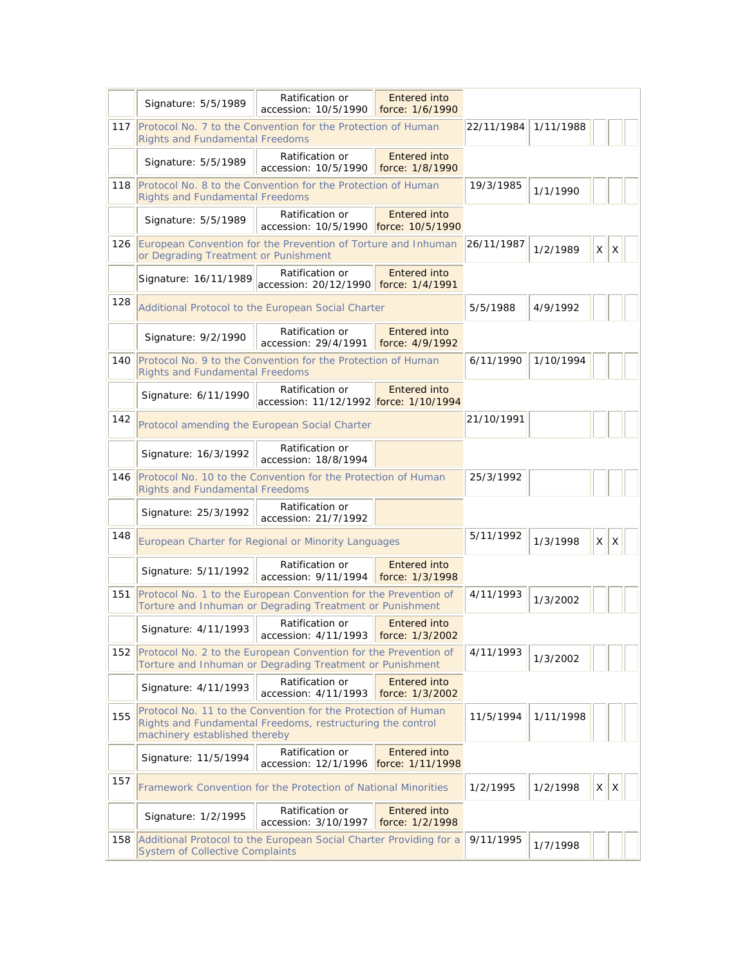|     | Signature: 5/5/1989                                                                                                                                          | Ratification or<br>accession: 10/5/1990                                                                | Entered into<br>force: 1/6/1990         |            |           |              |   |  |
|-----|--------------------------------------------------------------------------------------------------------------------------------------------------------------|--------------------------------------------------------------------------------------------------------|-----------------------------------------|------------|-----------|--------------|---|--|
| 117 | Protocol No. 7 to the Convention for the Protection of Human<br><b>Rights and Fundamental Freedoms</b>                                                       |                                                                                                        |                                         | 22/11/1984 | 1/11/1988 |              |   |  |
|     | Signature: 5/5/1989                                                                                                                                          | Ratification or<br>accession: 10/5/1990                                                                | Entered into<br>force: 1/8/1990         |            |           |              |   |  |
| 118 |                                                                                                                                                              | Protocol No. 8 to the Convention for the Protection of Human<br><b>Rights and Fundamental Freedoms</b> |                                         |            | 1/1/1990  |              |   |  |
|     | Signature: 5/5/1989                                                                                                                                          | Ratification or<br>accession: 10/5/1990 force: 10/5/1990                                               | Entered into                            |            |           |              |   |  |
| 126 | European Convention for the Prevention of Torture and Inhuman<br>or Degrading Treatment or Punishment                                                        |                                                                                                        |                                         | 26/11/1987 | 1/2/1989  | $\times$     | Χ |  |
|     | Signature: 16/11/1989                                                                                                                                        | Ratification or<br>accession: 20/12/1990 force: 1/4/1991                                               | <b>Entered into</b>                     |            |           |              |   |  |
| 128 |                                                                                                                                                              | Additional Protocol to the European Social Charter                                                     |                                         |            | 4/9/1992  |              |   |  |
|     | Signature: 9/2/1990                                                                                                                                          | Ratification or<br>accession: 29/4/1991                                                                | Entered into<br>force: 4/9/1992         |            |           |              |   |  |
| 140 | Protocol No. 9 to the Convention for the Protection of Human<br><b>Rights and Fundamental Freedoms</b>                                                       |                                                                                                        |                                         | 6/11/1990  | 1/10/1994 |              |   |  |
|     | Ratification or<br>Entered into<br>Signature: 6/11/1990<br>accession: 11/12/1992 force: 1/10/1994                                                            |                                                                                                        |                                         |            |           |              |   |  |
| 142 |                                                                                                                                                              | Protocol amending the European Social Charter                                                          |                                         |            |           |              |   |  |
|     | Signature: 16/3/1992                                                                                                                                         | Ratification or<br>accession: 18/8/1994                                                                |                                         |            |           |              |   |  |
| 146 | Protocol No. 10 to the Convention for the Protection of Human<br><b>Rights and Fundamental Freedoms</b>                                                      |                                                                                                        |                                         | 25/3/1992  |           |              |   |  |
|     | Signature: 25/3/1992                                                                                                                                         | Ratification or<br>accession: 21/7/1992                                                                |                                         |            |           |              |   |  |
| 148 |                                                                                                                                                              | European Charter for Regional or Minority Languages                                                    |                                         |            | 1/3/1998  | $\mathsf{X}$ | Χ |  |
|     | Signature: 5/11/1992                                                                                                                                         | Ratification or<br>accession: 9/11/1994                                                                | <b>Entered into</b><br>force: 1/3/1998  |            |           |              |   |  |
| 151 | Protocol No. 1 to the European Convention for the Prevention of                                                                                              | Torture and Inhuman or Degrading Treatment or Punishment                                               |                                         | 4/11/1993  | 1/3/2002  |              |   |  |
|     | Signature: 4/11/1993                                                                                                                                         | Ratification or<br>accession: 4/11/1993 force: 1/3/2002                                                | Entered into                            |            |           |              |   |  |
| 152 | Protocol No. 2 to the European Convention for the Prevention of<br>Torture and Inhuman or Degrading Treatment or Punishment                                  |                                                                                                        |                                         | 4/11/1993  | 1/3/2002  |              |   |  |
|     | Signature: 4/11/1993                                                                                                                                         | Ratification or<br>accession: 4/11/1993                                                                | <b>Entered into</b><br>force: 1/3/2002  |            |           |              |   |  |
| 155 | Protocol No. 11 to the Convention for the Protection of Human<br>Rights and Fundamental Freedoms, restructuring the control<br>machinery established thereby |                                                                                                        |                                         | 11/5/1994  | 1/11/1998 |              |   |  |
|     | Signature: 11/5/1994                                                                                                                                         | Ratification or<br>accession: 12/1/1996                                                                | <b>Entered into</b><br>force: 1/11/1998 |            |           |              |   |  |
| 157 |                                                                                                                                                              | Framework Convention for the Protection of National Minorities                                         |                                         | 1/2/1995   | 1/2/1998  | $\times$     | X |  |
|     | Ratification or<br><b>Entered into</b><br>Signature: 1/2/1995<br>accession: 3/10/1997<br>force: 1/2/1998                                                     |                                                                                                        |                                         |            |           |              |   |  |
| 158 | Additional Protocol to the European Social Charter Providing for a<br>System of Collective Complaints                                                        |                                                                                                        |                                         | 9/11/1995  | 1/7/1998  |              |   |  |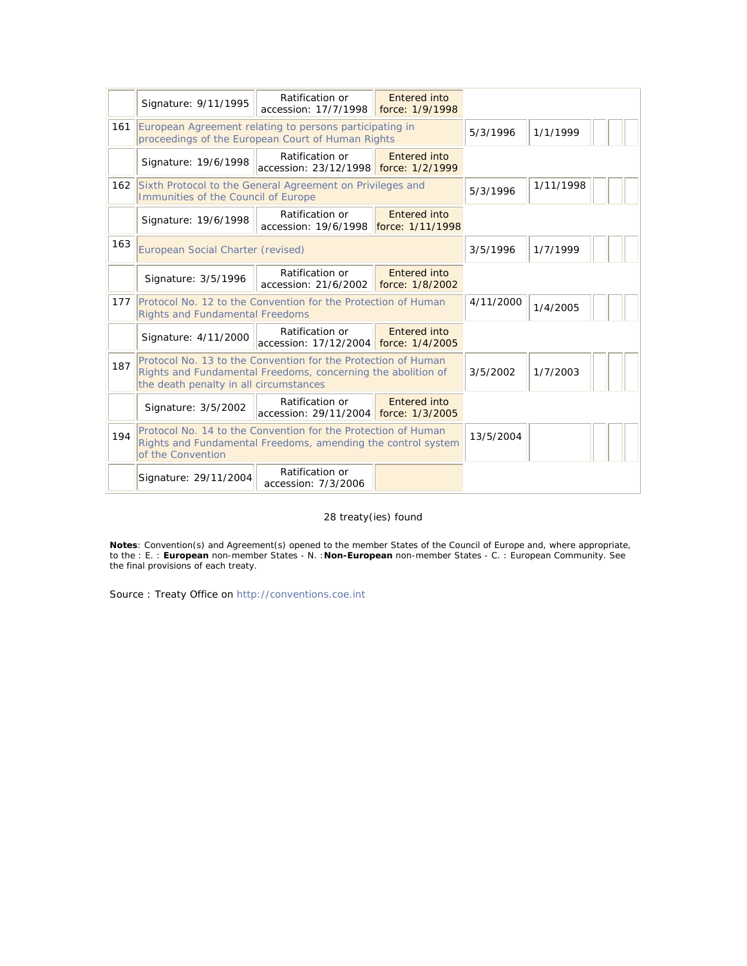|     | Signature: 9/11/1995                                                                                                                                                    | Ratification or<br>accession: 17/7/1998                  | Entered into<br>force: 1/9/1998 |           |           |
|-----|-------------------------------------------------------------------------------------------------------------------------------------------------------------------------|----------------------------------------------------------|---------------------------------|-----------|-----------|
| 161 | European Agreement relating to persons participating in<br>proceedings of the European Court of Human Rights                                                            |                                                          |                                 | 5/3/1996  | 1/1/1999  |
|     | Signature: 19/6/1998                                                                                                                                                    | Ratification or<br>accession: 23/12/1998 force: 1/2/1999 | <b>Entered into</b>             |           |           |
| 162 | Sixth Protocol to the General Agreement on Privileges and<br>Immunities of the Council of Europe                                                                        |                                                          |                                 | 5/3/1996  | 1/11/1998 |
|     | Signature: 19/6/1998                                                                                                                                                    | Ratification or<br>accession: 19/6/1998 force: 1/11/1998 | <b>Entered into</b>             |           |           |
| 163 | European Social Charter (revised)                                                                                                                                       |                                                          |                                 | 3/5/1996  | 1/7/1999  |
|     | Signature: 3/5/1996                                                                                                                                                     | Ratification or<br>accession: 21/6/2002                  | Entered into<br>force: 1/8/2002 |           |           |
| 177 | Protocol No. 12 to the Convention for the Protection of Human<br><b>Rights and Fundamental Freedoms</b>                                                                 |                                                          |                                 | 4/11/2000 | 1/4/2005  |
|     | Signature: 4/11/2000                                                                                                                                                    | Ratification or<br>accession: 17/12/2004 force: 1/4/2005 | Entered into                    |           |           |
| 187 | Protocol No. 13 to the Convention for the Protection of Human<br>Rights and Fundamental Freedoms, concerning the abolition of<br>the death penalty in all circumstances |                                                          |                                 | 3/5/2002  | 1/7/2003  |
|     | Signature: 3/5/2002                                                                                                                                                     | Ratification or<br>accession: 29/11/2004 force: 1/3/2005 | Entered into                    |           |           |
| 194 | Protocol No. 14 to the Convention for the Protection of Human<br>Rights and Fundamental Freedoms, amending the control system<br>of the Convention                      |                                                          |                                 | 13/5/2004 |           |
|     | Signature: 29/11/2004                                                                                                                                                   | Ratification or<br>accession: 7/3/2006                   |                                 |           |           |

## 28 treaty(ies) found

**Notes**: Convention(s) and Agreement(s) opened to the member States of the Council of Europe and, where appropriate, to the : E. : **European** non-member States - N. :**Non-European** non-member States - C. : European Community. See the final provisions of each treaty.

Source : Treaty Office on http://conventions.coe.int